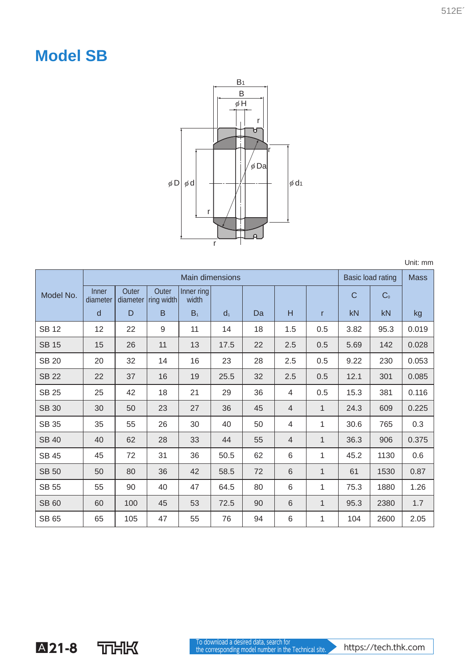## **Model SB**



Unit: mm

|              | <b>Main dimensions</b> |                   |                     |                     |                |    |                |              | Basic load rating |                | <b>Mass</b> |
|--------------|------------------------|-------------------|---------------------|---------------------|----------------|----|----------------|--------------|-------------------|----------------|-------------|
| Model No.    | Inner<br>diameter      | Outer<br>diameter | Outer<br>ring width | Inner ring<br>width |                |    |                |              | C                 | C <sub>0</sub> |             |
|              | d                      | D                 | B                   | B <sub>1</sub>      | d <sub>1</sub> | Da | H              | r            | kN                | kN             | kg          |
| <b>SB12</b>  | 12                     | 22                | 9                   | 11                  | 14             | 18 | 1.5            | 0.5          | 3.82              | 95.3           | 0.019       |
| <b>SB 15</b> | 15                     | 26                | 11                  | 13                  | 17.5           | 22 | 2.5            | 0.5          | 5.69              | 142            | 0.028       |
| <b>SB 20</b> | 20                     | 32                | 14                  | 16                  | 23             | 28 | 2.5            | 0.5          | 9.22              | 230            | 0.053       |
| <b>SB 22</b> | 22                     | 37                | 16                  | 19                  | 25.5           | 32 | 2.5            | 0.5          | 12.1              | 301            | 0.085       |
| <b>SB 25</b> | 25                     | 42                | 18                  | 21                  | 29             | 36 | $\overline{4}$ | 0.5          | 15.3              | 381            | 0.116       |
| <b>SB 30</b> | 30                     | 50                | 23                  | 27                  | 36             | 45 | $\overline{4}$ | $\mathbf{1}$ | 24.3              | 609            | 0.225       |
| <b>SB 35</b> | 35                     | 55                | 26                  | 30                  | 40             | 50 | 4              | 1            | 30.6              | 765            | 0.3         |
| <b>SB 40</b> | 40                     | 62                | 28                  | 33                  | 44             | 55 | $\overline{4}$ | 1            | 36.3              | 906            | 0.375       |
| <b>SB 45</b> | 45                     | 72                | 31                  | 36                  | 50.5           | 62 | 6              | 1            | 45.2              | 1130           | 0.6         |
| <b>SB 50</b> | 50                     | 80                | 36                  | 42                  | 58.5           | 72 | 6              | 1            | 61                | 1530           | 0.87        |
| <b>SB 55</b> | 55                     | 90                | 40                  | 47                  | 64.5           | 80 | 6              | 1            | 75.3              | 1880           | 1.26        |
| <b>SB 60</b> | 60                     | 100               | 45                  | 53                  | 72.5           | 90 | 6              | 1            | 95.3              | 2380           | 1.7         |
| SB 65        | 65                     | 105               | 47                  | 55                  | 76             | 94 | 6              | 1            | 104               | 2600           | 2.05        |